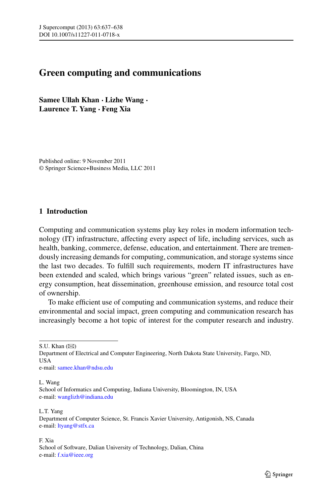## **Green computing and communications**

**Samee Ullah Khan · Lizhe Wang · Laurence T. Yang · Feng Xia**

Published online: 9 November 2011 © Springer Science+Business Media, LLC 2011

## **1 Introduction**

Computing and communication systems play key roles in modern information technology (IT) infrastructure, affecting every aspect of life, including services, such as health, banking, commerce, defense, education, and entertainment. There are tremendously increasing demands for computing, communication, and storage systems since the last two decades. To fulfill such requirements, modern IT infrastructures have been extended and scaled, which brings various "green" related issues, such as energy consumption, heat dissemination, greenhouse emission, and resource total cost of ownership.

To make efficient use of computing and communication systems, and reduce their environmental and social impact, green computing and communication research has increasingly become a hot topic of interest for the computer research and industry.

S.U. Khan  $(\boxtimes)$ 

Department of Electrical and Computer Engineering, North Dakota State University, Fargo, ND, USA e-mail: [samee.khan@ndsu.edu](mailto:samee.khan@ndsu.edu)

L. Wang

School of Informatics and Computing, Indiana University, Bloomington, IN, USA e-mail: [wanglizh@indiana.edu](mailto:wanglizh@indiana.edu)

L.T. Yang Department of Computer Science, St. Francis Xavier University, Antigonish, NS, Canada e-mail: [ltyang@stfx.ca](mailto:ltyang@stfx.ca)

F. Xia School of Software, Dalian University of Technology, Dalian, China e-mail: [f.xia@ieee.org](mailto:f.xia@ieee.org)